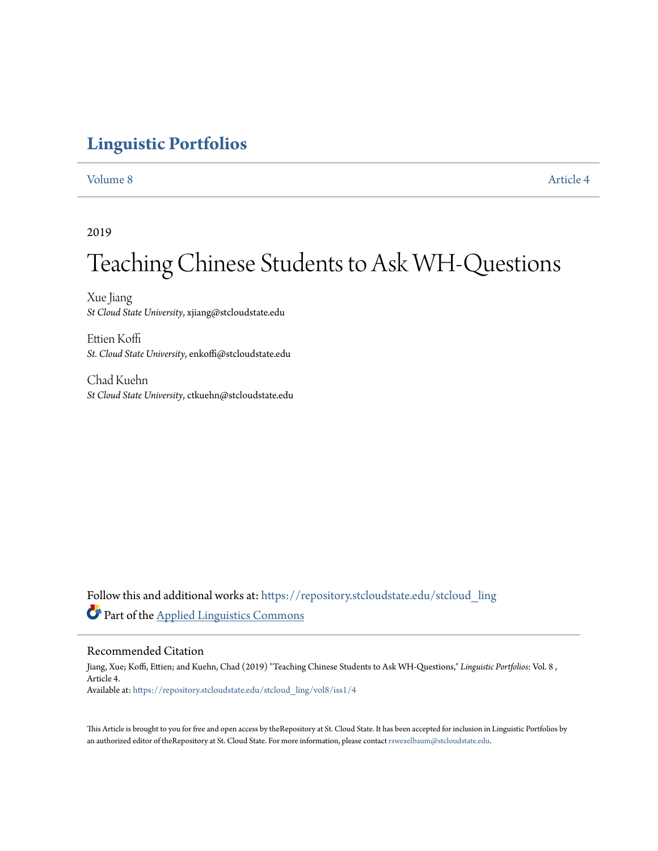# **[Linguistic Portfolios](https://repository.stcloudstate.edu/stcloud_ling?utm_source=repository.stcloudstate.edu%2Fstcloud_ling%2Fvol8%2Fiss1%2F4&utm_medium=PDF&utm_campaign=PDFCoverPages)**

[Volume 8](https://repository.stcloudstate.edu/stcloud_ling/vol8?utm_source=repository.stcloudstate.edu%2Fstcloud_ling%2Fvol8%2Fiss1%2F4&utm_medium=PDF&utm_campaign=PDFCoverPages) [Article 4](https://repository.stcloudstate.edu/stcloud_ling/vol8/iss1/4?utm_source=repository.stcloudstate.edu%2Fstcloud_ling%2Fvol8%2Fiss1%2F4&utm_medium=PDF&utm_campaign=PDFCoverPages)

# 2019

# Teaching Chinese Students to Ask WH-Questions

Xue Jiang *St Cloud State University*, xjiang@stcloudstate.edu

Ettien Koffi *St. Cloud State University*, enkoffi@stcloudstate.edu

Chad Kuehn *St Cloud State University*, ctkuehn@stcloudstate.edu

Follow this and additional works at: [https://repository.stcloudstate.edu/stcloud\\_ling](https://repository.stcloudstate.edu/stcloud_ling?utm_source=repository.stcloudstate.edu%2Fstcloud_ling%2Fvol8%2Fiss1%2F4&utm_medium=PDF&utm_campaign=PDFCoverPages) Part of the [Applied Linguistics Commons](http://network.bepress.com/hgg/discipline/373?utm_source=repository.stcloudstate.edu%2Fstcloud_ling%2Fvol8%2Fiss1%2F4&utm_medium=PDF&utm_campaign=PDFCoverPages)

# Recommended Citation

Jiang, Xue; Koffi, Ettien; and Kuehn, Chad (2019) "Teaching Chinese Students to Ask WH-Questions," *Linguistic Portfolios*: Vol. 8 , Article 4. Available at: [https://repository.stcloudstate.edu/stcloud\\_ling/vol8/iss1/4](https://repository.stcloudstate.edu/stcloud_ling/vol8/iss1/4?utm_source=repository.stcloudstate.edu%2Fstcloud_ling%2Fvol8%2Fiss1%2F4&utm_medium=PDF&utm_campaign=PDFCoverPages)

This Article is brought to you for free and open access by theRepository at St. Cloud State. It has been accepted for inclusion in Linguistic Portfolios by an authorized editor of theRepository at St. Cloud State. For more information, please contact [rswexelbaum@stcloudstate.edu.](mailto:rswexelbaum@stcloudstate.edu)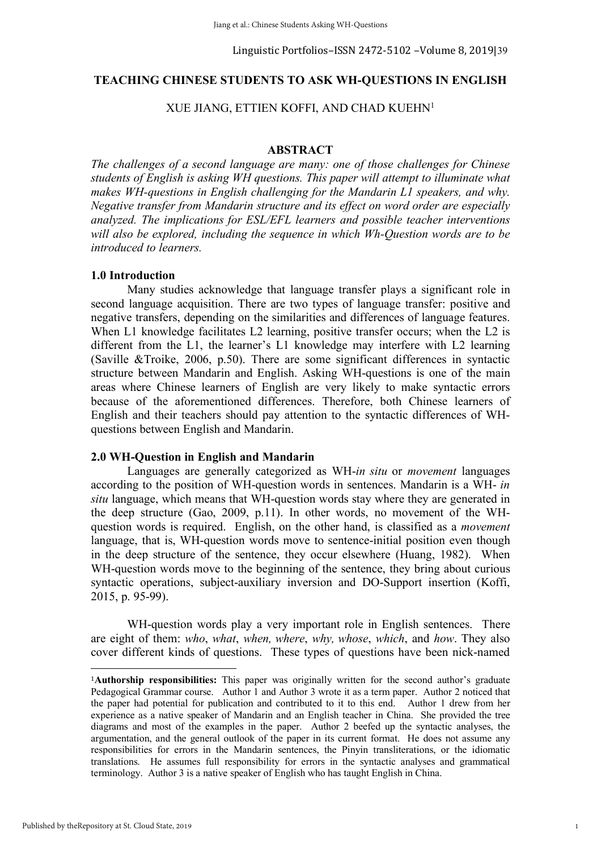# **TEACHING CHINESE STUDENTS TO ASK WH-QUESTIONS IN ENGLISH**

# XUE JIANG, ETTIEN KOFFI, AND CHAD KUEHN1

# **ABSTRACT**

*The challenges of a second language are many: one of those challenges for Chinese students of English is asking WH questions. This paper will attempt to illuminate what makes WH-questions in English challenging for the Mandarin L1 speakers, and why. Negative transfer from Mandarin structure and its effect on word order are especially analyzed. The implications for ESL/EFL learners and possible teacher interventions will also be explored, including the sequence in which Wh-Question words are to be introduced to learners.*

## **1.0 Introduction**

Many studies acknowledge that language transfer plays a significant role in second language acquisition. There are two types of language transfer: positive and negative transfers, depending on the similarities and differences of language features. When L1 knowledge facilitates L2 learning, positive transfer occurs; when the L2 is different from the L1, the learner's L1 knowledge may interfere with L2 learning (Saville &Troike, 2006, p.50). There are some significant differences in syntactic structure between Mandarin and English. Asking WH-questions is one of the main areas where Chinese learners of English are very likely to make syntactic errors because of the aforementioned differences. Therefore, both Chinese learners of English and their teachers should pay attention to the syntactic differences of WHquestions between English and Mandarin.

### **2.0 WH-Question in English and Mandarin**

 

Languages are generally categorized as WH-*in situ* or *movement* languages according to the position of WH-question words in sentences. Mandarin is a WH- *in situ* language, which means that WH-question words stay where they are generated in the deep structure (Gao, 2009, p.11). In other words, no movement of the WHquestion words is required. English, on the other hand, is classified as a *movement* language, that is, WH-question words move to sentence-initial position even though in the deep structure of the sentence, they occur elsewhere (Huang, 1982). When WH-question words move to the beginning of the sentence, they bring about curious syntactic operations, subject-auxiliary inversion and DO-Support insertion (Koffi, 2015, p. 95-99).

WH-question words play a very important role in English sentences. There are eight of them: *who*, *what*, *when, where*, *why, whose*, *which*, and *how*. They also cover different kinds of questions. These types of questions have been nick-named

<sup>1</sup>**Authorship responsibilities:** This paper was originally written for the second author's graduate Pedagogical Grammar course. Author 1 and Author 3 wrote it as a term paper. Author 2 noticed that the paper had potential for publication and contributed to it to this end. Author 1 drew from her experience as a native speaker of Mandarin and an English teacher in China. She provided the tree diagrams and most of the examples in the paper. Author 2 beefed up the syntactic analyses, the argumentation, and the general outlook of the paper in its current format. He does not assume any responsibilities for errors in the Mandarin sentences, the Pinyin transliterations, or the idiomatic translations. He assumes full responsibility for errors in the syntactic analyses and grammatical terminology. Author 3 is a native speaker of English who has taught English in China.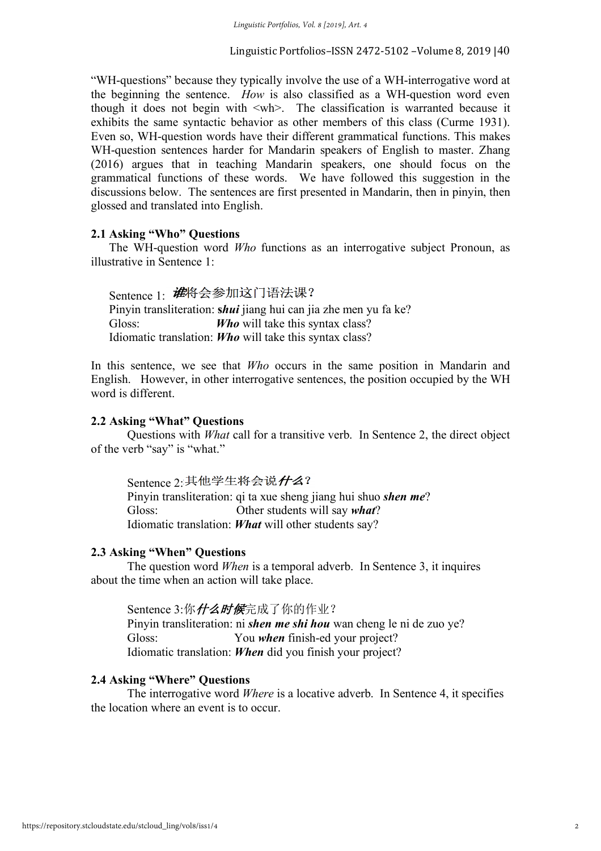"WH-questions" because they typically involve the use of a WH-interrogative word at the beginning the sentence. *How* is also classified as a WH-question word even though it does not begin with  $\langle \text{wh} \rangle$ . The classification is warranted because it exhibits the same syntactic behavior as other members of this class (Curme 1931). Even so, WH-question words have their different grammatical functions. This makes WH-question sentences harder for Mandarin speakers of English to master. Zhang (2016) argues that in teaching Mandarin speakers, one should focus on the grammatical functions of these words. We have followed this suggestion in the discussions below. The sentences are first presented in Mandarin, then in pinyin, then glossed and translated into English.

# **2.1 Asking "Who" Questions**

The WH-question word *Who* functions as an interrogative subject Pronoun, as illustrative in Sentence 1:

Sentence 1: *谁*将会参加这门语法课? Pinyin transliteration: **s***hui* jiang hui can jia zhe men yu fa ke? Gloss: *Who* will take this syntax class? Idiomatic translation: *Who* will take this syntax class?

In this sentence, we see that *Who* occurs in the same position in Mandarin and English. However, in other interrogative sentences, the position occupied by the WH word is different.

# **2.2 Asking "What" Questions**

Questions with *What* call for a transitive verb. In Sentence 2, the direct object of the verb "say" is "what."

Sentence 2: 其他学生将会说什么?

Pinyin transliteration: qi ta xue sheng jiang hui shuo *shen me*? Gloss: Other students will say *what*? Idiomatic translation: *What* will other students say?

# **2.3 Asking "When" Questions**

The question word *When* is a temporal adverb. In Sentence 3, it inquires about the time when an action will take place.

Sentence 3:你*什么时候*完成了你的作业? Pinyin transliteration: ni *shen me shi hou* wan cheng le ni de zuo ye? Gloss: You *when* finish-ed your project? Idiomatic translation: *When* did you finish your project?

# **2.4 Asking "Where" Questions**

The interrogative word *Where* is a locative adverb. In Sentence 4, it specifies the location where an event is to occur.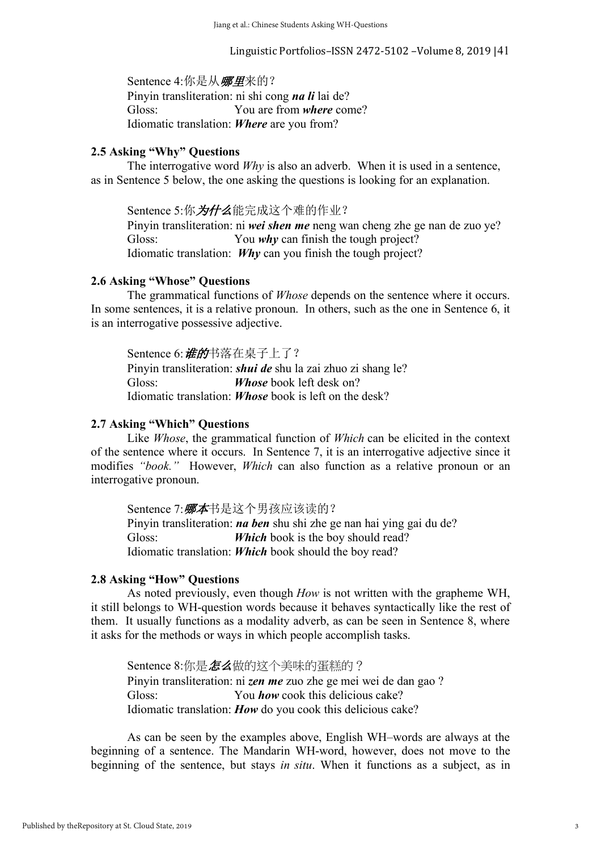Linguistic Portfolios–ISSN 2472-5102 -Volume 8, 2019  $|41$ 

Sentence 4:你是从哪里来的?

Pinyin transliteration: ni shi cong *na li* lai de? Gloss: You are from *where* come? Idiomatic translation: *Where* are you from?

# **2.5 Asking "Why" Questions**

The interrogative word *Why* is also an adverb. When it is used in a sentence, as in Sentence 5 below, the one asking the questions is looking for an explanation.

Sentence 5:你为什么能完成这个难的作业? Pinyin transliteration: ni *wei shen me* neng wan cheng zhe ge nan de zuo ye? Gloss: You *why* can finish the tough project? Idiomatic translation: *Why* can you finish the tough project?

# **2.6 Asking "Whose" Questions**

The grammatical functions of *Whose* depends on the sentence where it occurs. In some sentences, it is a relative pronoun. In others, such as the one in Sentence 6, it is an interrogative possessive adjective.

Sentence 6: **谁的**书落在桌子上了? Pinyin transliteration: *shui de* shu la zai zhuo zi shang le? Gloss: *Whose* book left desk on? Idiomatic translation: *Whose* book is left on the desk?

# **2.7 Asking "Which" Questions**

Like *Whose*, the grammatical function of *Which* can be elicited in the context of the sentence where it occurs. In Sentence 7, it is an interrogative adjective since it modifies *"book."* However, *Which* can also function as a relative pronoun or an interrogative pronoun.

Sentence 7: *哪本*书是这个男孩应该读的? Pinyin transliteration: *na ben* shu shi zhe ge nan hai ying gai du de? Gloss: *Which* book is the boy should read? Idiomatic translation: *Which* book should the boy read?

# **2.8 Asking "How" Questions**

As noted previously, even though *How* is not written with the grapheme WH, it still belongs to WH-question words because it behaves syntactically like the rest of them. It usually functions as a modality adverb, as can be seen in Sentence 8, where it asks for the methods or ways in which people accomplish tasks.

Sentence 8:你是怎么做的这个美味的蛋糕的? Pinyin transliteration: ni *zen me* zuo zhe ge mei wei de dan gao ? Gloss: You **how** cook this delicious cake? Idiomatic translation: *How* do you cook this delicious cake?

As can be seen by the examples above, English WH–words are always at the beginning of a sentence. The Mandarin WH-word, however, does not move to the beginning of the sentence, but stays *in situ*. When it functions as a subject, as in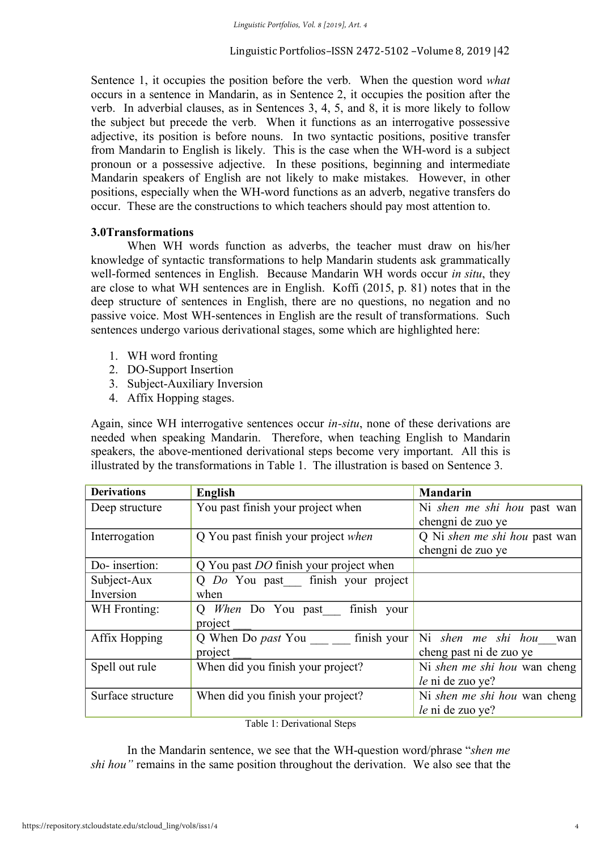Sentence 1, it occupies the position before the verb. When the question word *what* occurs in a sentence in Mandarin, as in Sentence 2, it occupies the position after the verb. In adverbial clauses, as in Sentences 3, 4, 5, and 8, it is more likely to follow the subject but precede the verb. When it functions as an interrogative possessive adjective, its position is before nouns. In two syntactic positions, positive transfer from Mandarin to English is likely. This is the case when the WH-word is a subject pronoun or a possessive adjective. In these positions, beginning and intermediate Mandarin speakers of English are not likely to make mistakes. However, in other positions, especially when the WH-word functions as an adverb, negative transfers do occur. These are the constructions to which teachers should pay most attention to.

# **3.0Transformations**

When WH words function as adverbs, the teacher must draw on his/her knowledge of syntactic transformations to help Mandarin students ask grammatically well-formed sentences in English. Because Mandarin WH words occur *in situ*, they are close to what WH sentences are in English. Koffi (2015, p. 81) notes that in the deep structure of sentences in English, there are no questions, no negation and no passive voice. Most WH-sentences in English are the result of transformations. Such sentences undergo various derivational stages, some which are highlighted here:

- 1. WH word fronting
- 2. DO-Support Insertion
- 3. Subject-Auxiliary Inversion
- 4. Affix Hopping stages.

Again, since WH interrogative sentences occur *in-situ*, none of these derivations are needed when speaking Mandarin. Therefore, when teaching English to Mandarin speakers, the above-mentioned derivational steps become very important. All this is illustrated by the transformations in Table 1. The illustration is based on Sentence 3.

| <b>Derivations</b> | <b>English</b>                                | <b>Mandarin</b>                     |
|--------------------|-----------------------------------------------|-------------------------------------|
| Deep structure     | You past finish your project when             | Ni shen me shi hou past wan         |
|                    |                                               | chengni de zuo ye                   |
| Interrogation      | Q You past finish your project when           | Q Ni shen me shi hou past wan       |
|                    |                                               | chengni de zuo ye                   |
| Do-insertion:      | Q You past <i>DO</i> finish your project when |                                     |
| Subject-Aux        | Q Do You past finish your project             |                                     |
| Inversion          | when                                          |                                     |
| WH Fronting:       | Q When Do You past finish your                |                                     |
|                    | project                                       |                                     |
| Affix Hopping      | Q When Do past You finish your                | Ni shen me shi hou wan              |
|                    | project                                       | cheng past ni de zuo ye             |
| Spell out rule     | When did you finish your project?             | Ni <i>shen me shi hou</i> wan cheng |
|                    |                                               | le ni de zuo ye?                    |
| Surface structure  | When did you finish your project?             | Ni <i>shen me shi hou</i> wan cheng |
|                    |                                               | le ni de zuo ye?                    |

Table 1: Derivational Steps

In the Mandarin sentence, we see that the WH-question word/phrase "*shen me shi hou"* remains in the same position throughout the derivation. We also see that the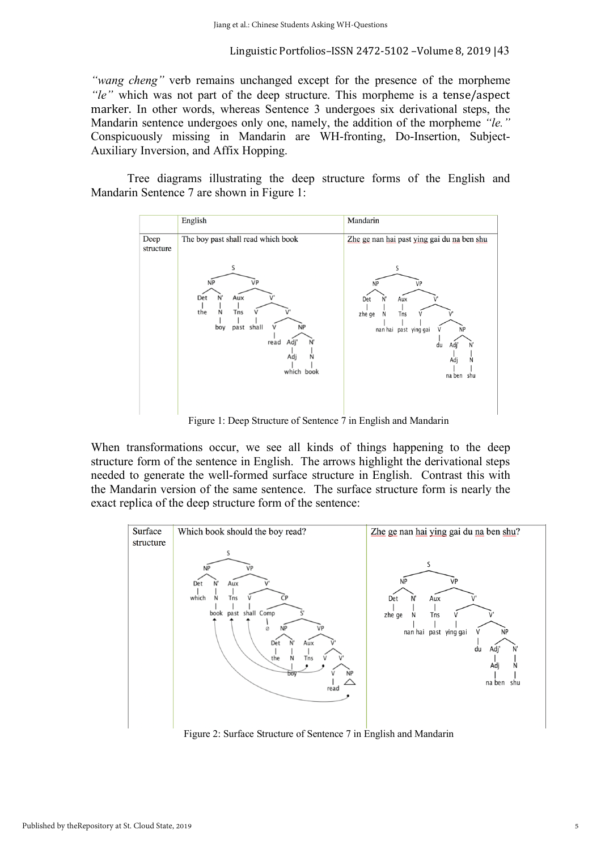*"wang cheng"* verb remains unchanged except for the presence of the morpheme *"le"* which was not part of the deep structure. This morpheme is a tense/aspect marker. In other words, whereas Sentence 3 undergoes six derivational steps, the Mandarin sentence undergoes only one, namely, the addition of the morpheme *"le."* Conspicuously missing in Mandarin are WH-fronting, Do-Insertion, Subject-Auxiliary Inversion, and Affix Hopping.

Tree diagrams illustrating the deep structure forms of the English and Mandarin Sentence 7 are shown in Figure 1:



Figure 1: Deep Structure of Sentence 7 in English and Mandarin

When transformations occur, we see all kinds of things happening to the deep structure form of the sentence in English. The arrows highlight the derivational steps needed to generate the well-formed surface structure in English. Contrast this with the Mandarin version of the same sentence. The surface structure form is nearly the exact replica of the deep structure form of the sentence:



Figure 2: Surface Structure of Sentence 7 in English and Mandarin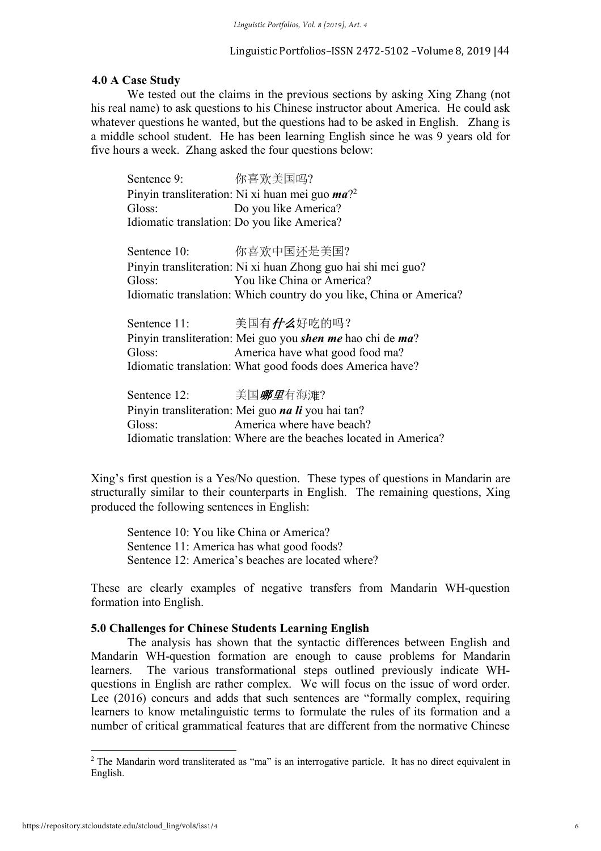# **4.0 A Case Study**

We tested out the claims in the previous sections by asking Xing Zhang (not his real name) to ask questions to his Chinese instructor about America. He could ask whatever questions he wanted, but the questions had to be asked in English. Zhang is a middle school student. He has been learning English since he was 9 years old for five hours a week. Zhang asked the four questions below:

| Sentence 9:                 你喜欢美国吗?                                                                                                                                                                                                                                            |                                                                                                                                                                                                               |
|--------------------------------------------------------------------------------------------------------------------------------------------------------------------------------------------------------------------------------------------------------------------------------|---------------------------------------------------------------------------------------------------------------------------------------------------------------------------------------------------------------|
|                                                                                                                                                                                                                                                                                | Pinyin transliteration: Ni xi huan mei guo <i>ma</i> ? <sup>2</sup>                                                                                                                                           |
| Gloss:                                                                                                                                                                                                                                                                         | Do you like America?                                                                                                                                                                                          |
|                                                                                                                                                                                                                                                                                | Idiomatic translation: Do you like America?                                                                                                                                                                   |
|                                                                                                                                                                                                                                                                                | Sentence 10:     你喜欢中国还是美国?                                                                                                                                                                                   |
|                                                                                                                                                                                                                                                                                | Pinyin transliteration: Ni xi huan Zhong guo hai shi mei guo?                                                                                                                                                 |
| Gloss:                                                                                                                                                                                                                                                                         | You like China or America?                                                                                                                                                                                    |
|                                                                                                                                                                                                                                                                                | Idiomatic translation: Which country do you like, China or America?                                                                                                                                           |
| Gloss:                                                                                                                                                                                                                                                                         | Sentence 11: 実国有 <i>什么</i> 好吃的吗?<br>Pinyin transliteration: Mei guo you <i>shen me</i> hao chi de <i>ma</i> ?<br>America have what good food ma?<br>Idiomatic translation: What good foods does America have? |
| Sentence 12:               美国 <i>哪里</i> 有海滩?<br>Gloss: The Gloss of the Contract of the Contract of the Contract of the Contract of the Contract of the Contract of the Contract of the Contract of the Contract of the Contract of the Contract of the Contract of the Contra | Pinyin transliteration: Mei guo <i>na li</i> you hai tan?<br>America where have beach?<br>Idiomatic translation: Where are the beaches located in America?                                                    |

Xing's first question is a Yes/No question. These types of questions in Mandarin are structurally similar to their counterparts in English. The remaining questions, Xing produced the following sentences in English:

Sentence 10: You like China or America? Sentence 11: America has what good foods? Sentence 12: America's beaches are located where?

These are clearly examples of negative transfers from Mandarin WH-question formation into English.

# **5.0 Challenges for Chinese Students Learning English**

The analysis has shown that the syntactic differences between English and Mandarin WH-question formation are enough to cause problems for Mandarin learners. The various transformational steps outlined previously indicate WHquestions in English are rather complex. We will focus on the issue of word order. Lee (2016) concurs and adds that such sentences are "formally complex, requiring learners to know metalinguistic terms to formulate the rules of its formation and a number of critical grammatical features that are different from the normative Chinese

 

<sup>&</sup>lt;sup>2</sup> The Mandarin word transliterated as "ma" is an interrogative particle. It has no direct equivalent in English.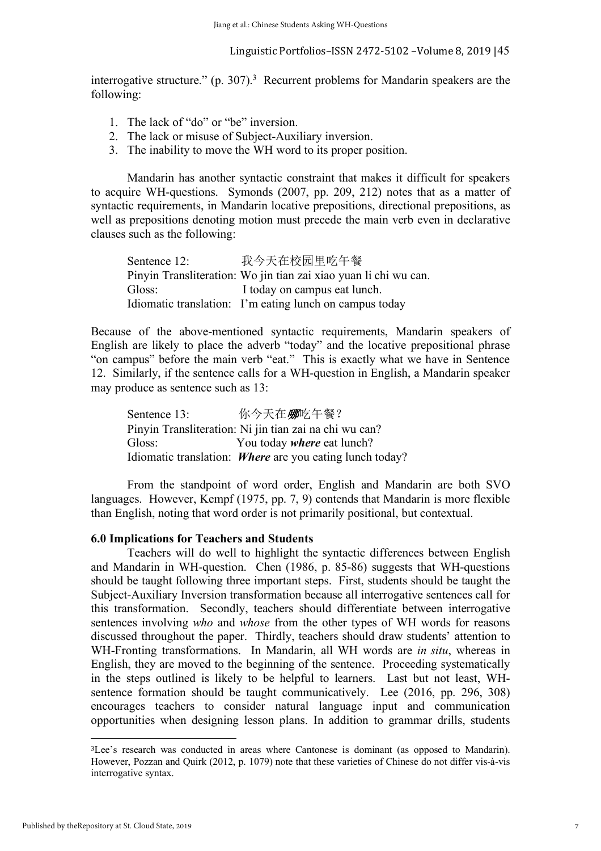interrogative structure."  $(p. 307)^3$  Recurrent problems for Mandarin speakers are the following:

- 1. The lack of "do" or "be" inversion.
- 2. The lack or misuse of Subject-Auxiliary inversion.
- 3. The inability to move the WH word to its proper position.

Mandarin has another syntactic constraint that makes it difficult for speakers to acquire WH-questions. Symonds (2007, pp. 209, 212) notes that as a matter of syntactic requirements, in Mandarin locative prepositions, directional prepositions, as well as prepositions denoting motion must precede the main verb even in declarative clauses such as the following:

Sentence 12: 我今天在校园里吃午餐 Pinyin Transliteration: Wo jin tian zai xiao yuan li chi wu can. Gloss: I today on campus eat lunch. Idiomatic translation: I'm eating lunch on campus today

Because of the above-mentioned syntactic requirements, Mandarin speakers of English are likely to place the adverb "today" and the locative prepositional phrase "on campus" before the main verb "eat." This is exactly what we have in Sentence 12. Similarly, if the sentence calls for a WH-question in English, a Mandarin speaker may produce as sentence such as 13:

| Sentence 13: | 你今天在哪吃午餐?                                                |
|--------------|----------------------------------------------------------|
|              | Pinyin Transliteration: Ni jin tian zai na chi wu can?   |
| Gloss:       | You today <i>where</i> eat lunch?                        |
|              | Idiomatic translation: Where are you eating lunch today? |

From the standpoint of word order, English and Mandarin are both SVO languages. However, Kempf (1975, pp. 7, 9) contends that Mandarin is more flexible than English, noting that word order is not primarily positional, but contextual.

# **6.0 Implications for Teachers and Students**

Teachers will do well to highlight the syntactic differences between English and Mandarin in WH-question. Chen (1986, p. 85-86) suggests that WH-questions should be taught following three important steps. First, students should be taught the Subject-Auxiliary Inversion transformation because all interrogative sentences call for this transformation. Secondly, teachers should differentiate between interrogative sentences involving *who* and *whose* from the other types of WH words for reasons discussed throughout the paper. Thirdly, teachers should draw students' attention to WH-Fronting transformations. In Mandarin, all WH words are *in situ*, whereas in English, they are moved to the beginning of the sentence. Proceeding systematically in the steps outlined is likely to be helpful to learners. Last but not least, WHsentence formation should be taught communicatively. Lee (2016, pp. 296, 308) encourages teachers to consider natural language input and communication opportunities when designing lesson plans. In addition to grammar drills, students

 

<sup>3</sup>Lee's research was conducted in areas where Cantonese is dominant (as opposed to Mandarin). However, Pozzan and Quirk (2012, p. 1079) note that these varieties of Chinese do not differ vis-à-vis interrogative syntax.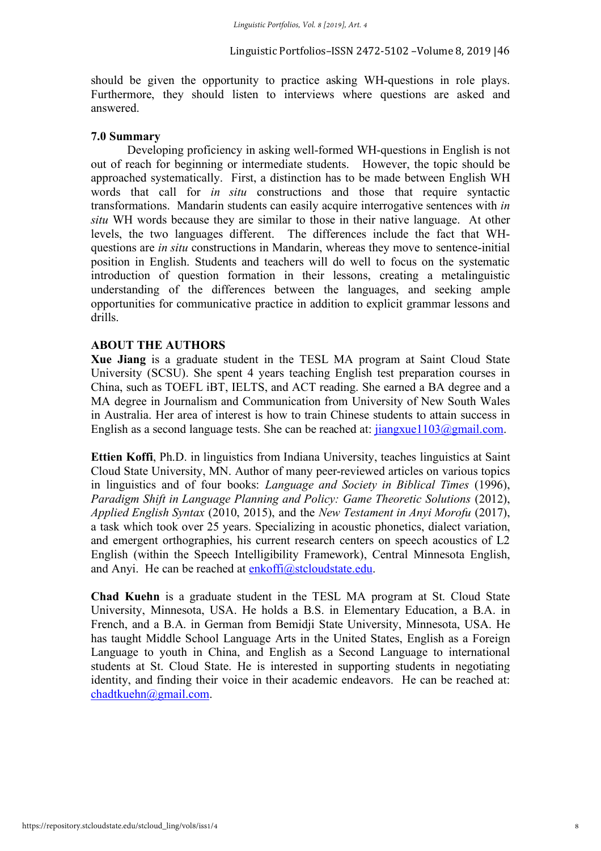should be given the opportunity to practice asking WH-questions in role plays. Furthermore, they should listen to interviews where questions are asked and answered.

# **7.0 Summary**

Developing proficiency in asking well-formed WH-questions in English is not out of reach for beginning or intermediate students. However, the topic should be approached systematically. First, a distinction has to be made between English WH words that call for *in situ* constructions and those that require syntactic transformations. Mandarin students can easily acquire interrogative sentences with *in situ* WH words because they are similar to those in their native language. At other levels, the two languages different. The differences include the fact that WHquestions are *in situ* constructions in Mandarin, whereas they move to sentence-initial position in English. Students and teachers will do well to focus on the systematic introduction of question formation in their lessons, creating a metalinguistic understanding of the differences between the languages, and seeking ample opportunities for communicative practice in addition to explicit grammar lessons and drills.

# **ABOUT THE AUTHORS**

**Xue Jiang** is a graduate student in the TESL MA program at Saint Cloud State University (SCSU). She spent 4 years teaching English test preparation courses in China, such as TOEFL iBT, IELTS, and ACT reading. She earned a BA degree and a MA degree in Journalism and Communication from University of New South Wales in Australia. Her area of interest is how to train Chinese students to attain success in English as a second language tests. She can be reached at:  $\frac{\text{i}}{\text{i}}$  iangxue 1103@gmail.com.

**Ettien Koffi**, Ph.D. in linguistics from Indiana University, teaches linguistics at Saint Cloud State University, MN. Author of many peer-reviewed articles on various topics in linguistics and of four books: *Language and Society in Biblical Times* (1996), *Paradigm Shift in Language Planning and Policy: Game Theoretic Solutions* (2012), *Applied English Syntax* (2010, 2015), and the *New Testament in Anyi Morofu* (2017), a task which took over 25 years. Specializing in acoustic phonetics, dialect variation, and emergent orthographies, his current research centers on speech acoustics of L2 English (within the Speech Intelligibility Framework), Central Minnesota English, and Anyi. He can be reached at enkoffi@stcloudstate.edu.

**Chad Kuehn** is a graduate student in the TESL MA program at St. Cloud State University, Minnesota, USA. He holds a B.S. in Elementary Education, a B.A. in French, and a B.A. in German from Bemidji State University, Minnesota, USA. He has taught Middle School Language Arts in the United States, English as a Foreign Language to youth in China, and English as a Second Language to international students at St. Cloud State. He is interested in supporting students in negotiating identity, and finding their voice in their academic endeavors. He can be reached at: chadtkuehn@gmail.com.